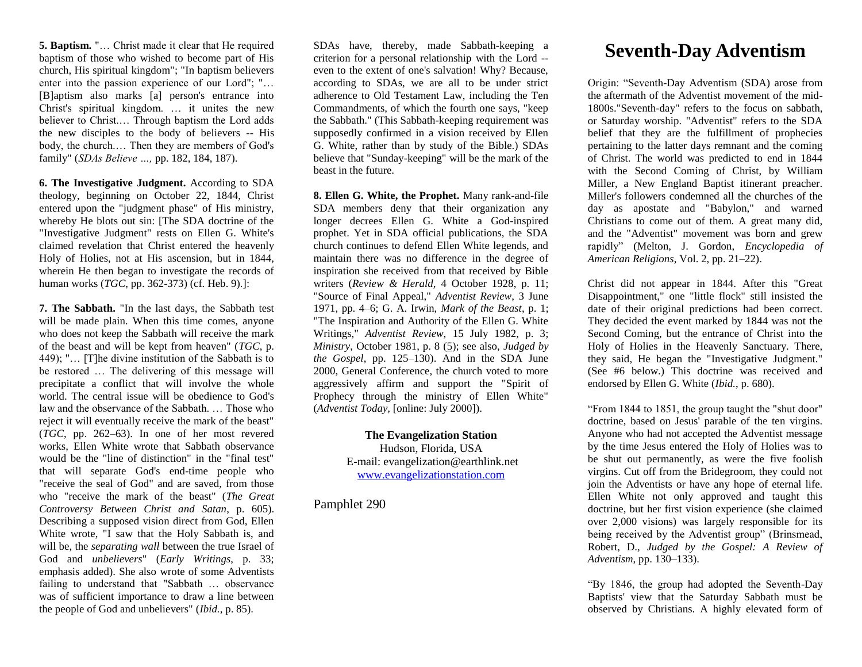**5. Baptism.** "… Christ made it clear that He required baptism of those who wished to become part of His church, His spiritual kingdom"; "In baptism believers enter into the passion experience of our Lord"; "… [B]aptism also marks [a] person's entrance into Christ's spiritual kingdom. … it unites the new believer to Christ.… Through baptism the Lord adds the new disciples to the body of believers -- His body, the church.… Then they are members of God's family" (*SDAs Believe …,* pp. 182, 184, 187).

**6. The Investigative Judgment.** According to SDA theology, beginning on October 22, 1844, Christ entered upon the "judgment phase" of His ministry, whereby He blots out sin: [The SDA doctrine of the "Investigative Judgment" rests on Ellen G. White's claimed revelation that Christ entered the heavenly Holy of Holies, not at His ascension, but in 1844, wherein He then began to investigate the records of human works (*TGC*, pp. 362-373) (cf. Heb. 9).]:

**7. The Sabbath.** "In the last days, the Sabbath test will be made plain. When this time comes, anyone who does not keep the Sabbath will receive the mark of the beast and will be kept from heaven" (*TGC*, p. 449); "… [T]he divine institution of the Sabbath is to be restored … The delivering of this message will precipitate a conflict that will involve the whole world. The central issue will be obedience to God's law and the observance of the Sabbath. … Those who reject it will eventually receive the mark of the beast" (*TGC*, pp. 262–63). In one of her most revered works, Ellen White wrote that Sabbath observance would be the "line of distinction" in the "final test" that will separate God's end-time people who "receive the seal of God" and are saved, from those who "receive the mark of the beast" (*The Great Controversy Between Christ and Satan*, p. 605). Describing a supposed vision direct from God, Ellen White wrote, "I saw that the Holy Sabbath is, and will be, the *separating wall* between the true Israel of God and *unbelievers*" (*Early Writings*, p. 33; emphasis added). She also wrote of some Adventists failing to understand that "Sabbath … observance was of sufficient importance to draw a line between the people of God and unbelievers" (*Ibid.*, p. 85).

SDAs have, thereby, made Sabbath-keeping a criterion for a personal relationship with the Lord - even to the extent of one's salvation! Why? Because, according to SDAs, we are all to be under strict adherence to Old Testament Law, including the Ten Commandments, of which the fourth one says, "keep the Sabbath." (This Sabbath-keeping requirement was supposedly confirmed in a vision received by Ellen G. White, rather than by study of the Bible.) SDAs believe that "Sunday-keeping" will be the mark of the beast in the future.

**8. Ellen G. White, the Prophet.** Many rank-and-file SDA members deny that their organization any longer decrees Ellen G. White a God-inspired prophet. Yet in SDA official publications, the SDA church continues to defend Ellen White legends, and maintain there was no difference in the degree of inspiration she received from that received by Bible writers (*Review & Herald*, 4 October 1928, p. 11; "Source of Final Appeal," *Adventist Review*, 3 June 1971, pp. 4–6; G. A. Irwin, *Mark of the Beast*, p. 1; "The Inspiration and Authority of the Ellen G. White Writings," *Adventist Review*, 15 July 1982, p. 3; *Ministry*, October 1981, p. 8 [\(5\)](http://www.rapidnet.com/~jbeard/bdm/Cults/sda/#5); see also, *Judged by the Gospel*, pp. 125–130). And in the SDA June 2000, General Conference, the church voted to more aggressively affirm and support the "Spirit of Prophecy through the ministry of Ellen White" (*Adventist Today,* [online: July 2000]).

> **The Evangelization Station** Hudson, Florida, USA E-mail: evangelization@earthlink.net [www.evangelizationstation.com](http://www.pjpiisoe.org/)

Pamphlet 290

## **Seventh-Day Adventism**

Origin: "Seventh-Day Adventism (SDA) arose from the aftermath of the Adventist movement of the mid-1800s."Seventh-day" refers to the focus on sabbath, or Saturday worship. "Adventist" refers to the SDA belief that they are the fulfillment of prophecies pertaining to the latter days remnant and the coming of Christ. The world was predicted to end in 1844 with the Second Coming of Christ, by William Miller, a New England Baptist itinerant preacher. Miller's followers condemned all the churches of the day as apostate and "Babylon," and warned Christians to come out of them. A great many did, and the "Adventist" movement was born and grew rapidly" (Melton, J. Gordon, *Encyclopedia of American Religions*, Vol. 2, pp. 21–22).

Christ did not appear in 1844. After this "Great Disappointment," one "little flock" still insisted the date of their original predictions had been correct. They decided the event marked by 1844 was not the Second Coming, but the entrance of Christ into the Holy of Holies in the Heavenly Sanctuary. There, they said, He began the "Investigative Judgment." (See #6 below.) This doctrine was received and endorsed by Ellen G. White (*Ibid.*, p. 680).

"From 1844 to 1851, the group taught the "shut door" doctrine, based on Jesus' parable of the ten virgins. Anyone who had not accepted the Adventist message by the time Jesus entered the Holy of Holies was to be shut out permanently, as were the five foolish virgins. Cut off from the Bridegroom, they could not join the Adventists or have any hope of eternal life. Ellen White not only approved and taught this doctrine, but her first vision experience (she claimed over 2,000 visions) was largely responsible for its being received by the Adventist group" (Brinsmead, Robert, D., *Judged by the Gospel: A Review of Adventism*, pp. 130–133).

"By 1846, the group had adopted the Seventh-Day Baptists' view that the Saturday Sabbath must be observed by Christians. A highly elevated form of